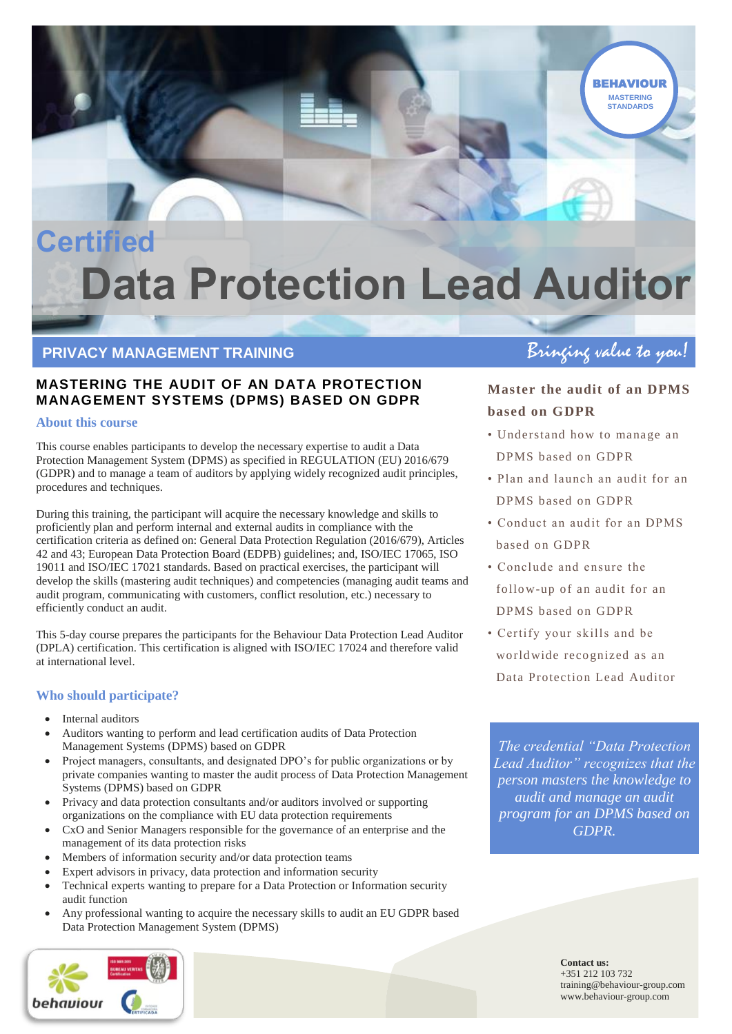## **Certified Data Protection Lead Auditor**

# **PRIVACY MANAGEMENT TRAINING**<br> **PRIVACY MANAGEMENT TRAINING**

## **MASTERING THE AUDIT OF AN DATA PROTECTION MANAGEMENT SYSTEMS (DPMS) BASED ON GDPR**

### **About this course**

This course enables participants to develop the necessary expertise to audit a Data Protection Management System (DPMS) as specified in REGULATION (EU) 2016/679 (GDPR) and to manage a team of auditors by applying widely recognized audit principles, procedures and techniques.

During this training, the participant will acquire the necessary knowledge and skills to proficiently plan and perform internal and external audits in compliance with the certification criteria as defined on: General Data Protection Regulation (2016/679), Articles 42 and 43; European Data Protection Board (EDPB) guidelines; and, ISO/IEC 17065, ISO 19011 and ISO/IEC 17021 standards. Based on practical exercises, the participant will develop the skills (mastering audit techniques) and competencies (managing audit teams and audit program, communicating with customers, conflict resolution, etc.) necessary to efficiently conduct an audit.

This 5-day course prepares the participants for the Behaviour Data Protection Lead Auditor (DPLA) certification. This certification is aligned with ISO/IEC 17024 and therefore valid at international level.

## **Who should participate?**

- Internal auditors
- Auditors wanting to perform and lead certification audits of Data Protection Management Systems (DPMS) based on GDPR
- Project managers, consultants, and designated DPO's for public organizations or by private companies wanting to master the audit process of Data Protection Management Systems (DPMS) based on GDPR
- Privacy and data protection consultants and/or auditors involved or supporting organizations on the compliance with EU data protection requirements
- CxO and Senior Managers responsible for the governance of an enterprise and the management of its data protection risks
- Members of information security and/or data protection teams
- Expert advisors in privacy, data protection and information security
- Technical experts wanting to prepare for a Data Protection or Information security audit function
- Any professional wanting to acquire the necessary skills to audit an EU GDPR based Data Protection Management System (DPMS)



**MASTERING STANDARDS BEHAVIOUR** 

## **Master the audit of an DPMS based on GDPR**

- Understand how to manage an DPMS based on GDPR
- Plan and launch an audit for an DPMS based on GDPR
- Conduct an audit for an DPMS based on GDPR
- Conclude and ensure the follo w-up of an audit for an DPMS based on GDPR
- Certify your skills and be world wide recognized as an Data Protection Lead Auditor

*The credential "Data Protection Lead Auditor" recognizes that the person masters the knowledge to audit and manage an audit program for an DPMS based on GDPR.*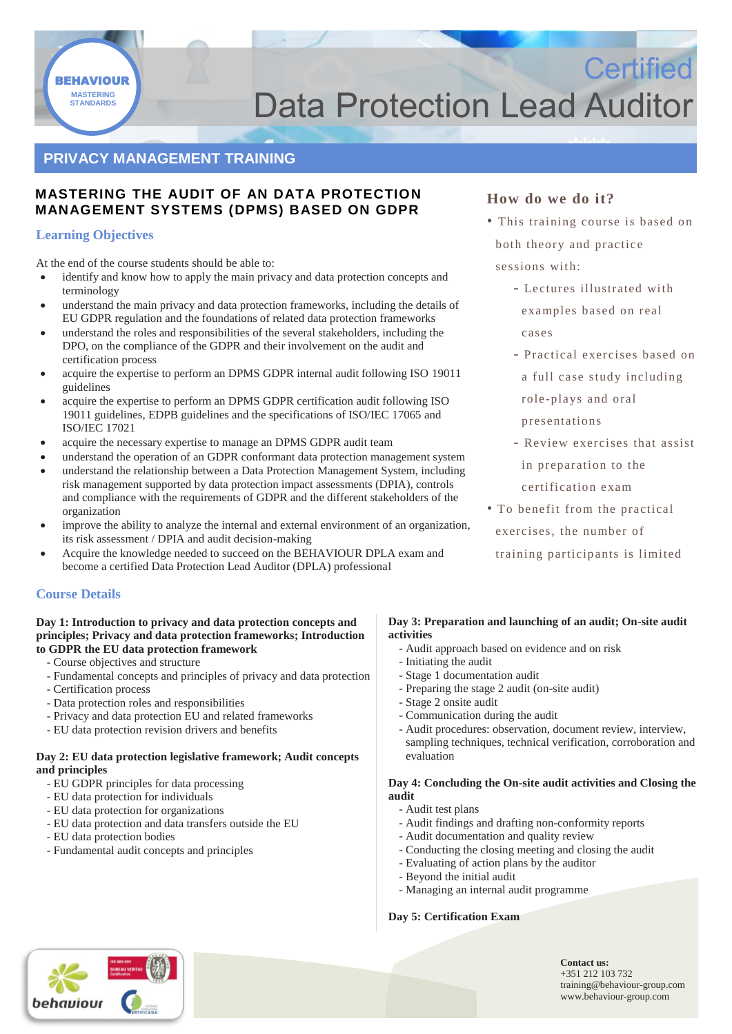

## **Data Protection Lead Auditor**

## **PRIVACY MANAGEMENT TRAINING**

### **MASTERING THE AUDIT OF AN DATA PROTECTION MANAGEMENT SYSTEMS (DPMS) BASED ON GDPR**

### **Learning Objectives**

At the end of the course students should be able to:

- identify and know how to apply the main privacy and data protection concepts and terminology
- understand the main privacy and data protection frameworks, including the details of EU GDPR regulation and the foundations of related data protection frameworks
- understand the roles and responsibilities of the several stakeholders, including the DPO, on the compliance of the GDPR and their involvement on the audit and certification process
- acquire the expertise to perform an DPMS GDPR internal audit following ISO 19011 guidelines
- acquire the expertise to perform an DPMS GDPR certification audit following ISO 19011 guidelines, EDPB guidelines and the specifications of ISO/IEC 17065 and ISO/IEC 17021
- acquire the necessary expertise to manage an DPMS GDPR audit team
- understand the operation of an GDPR conformant data protection management system
- understand the relationship between a Data Protection Management System, including risk management supported by data protection impact assessments (DPIA), controls and compliance with the requirements of GDPR and the different stakeholders of the organization
- improve the ability to analyze the internal and external environment of an organization, its risk assessment / DPIA and audit decision-making
- Acquire the knowledge needed to succeed on the BEHAVIOUR DPLA exam and become a certified Data Protection Lead Auditor (DPLA) professional

### **Course Details**

#### **Day 1: Introduction to privacy and data protection concepts and principles; Privacy and data protection frameworks; Introduction to GDPR the EU data protection framework**

- Course objectives and structure
- Fundamental concepts and principles of privacy and data protection
- Certification process
- Data protection roles and responsibilities
- Privacy and data protection EU and related frameworks
- EU data protection revision drivers and benefits

### **Day 2: EU data protection legislative framework; Audit concepts and principles**

- EU GDPR principles for data processing
- EU data protection for individuals
- EU data protection for organizations
- EU data protection and data transfers outside the EU
- EU data protection bodies
- Fundamental audit concepts and principles

## **How do we do it?**

• This training course is based on both theory and practice sessions with:

**Certified** 

- Lectures illustrated with examples based on real cases
- Practical exercises based on a full case study including role -plays and oral
- presentations
- Review exercises that assist in preparation to the certification exam
- To benefit from the practical exercises, the number of training participants is limited

#### **Day 3: Preparation and launching of an audit; On-site audit activities**

- Audit approach based on evidence and on risk
- Initiating the audit
- Stage 1 documentation audit
- Preparing the stage 2 audit (on-site audit)
- Stage 2 onsite audit
- Communication during the audit
- Audit procedures: observation, document review, interview, sampling techniques, technical verification, corroboration and evaluation

#### **Day 4: Concluding the On-site audit activities and Closing the audit**

- Audit test plans
- Audit findings and drafting non-conformity reports
- Audit documentation and quality review
- Conducting the closing meeting and closing the audit
- Evaluating of action plans by the auditor
- Beyond the initial audit
- Managing an internal audit programme

### **Day 5: Certification Exam**

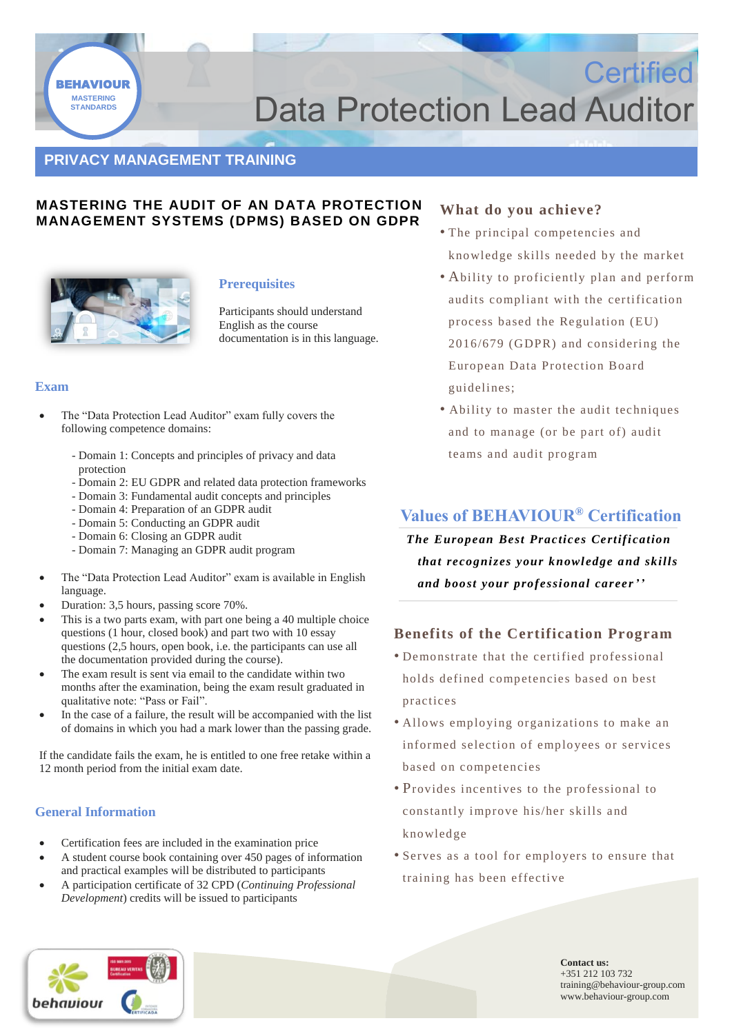

## **Data Protection Lead Auditor**

## **PRIVACY MANAGEMENT TRAINING**

### **MASTERING THE AUDIT OF AN DATA PROTECTION MANAGEMENT SYSTEMS (DPMS) BASED ON GDPR**



### **Prerequisites**

Participants should understand English as the course documentation is in this language.

#### **Exam**

- The "Data Protection Lead Auditor" exam fully covers the following competence domains:
	- Domain 1: Concepts and principles of privacy and data protection
	- Domain 2: EU GDPR and related data protection frameworks
	- Domain 3: Fundamental audit concepts and principles
	- Domain 4: Preparation of an GDPR audit
	- Domain 5: Conducting an GDPR audit
	- Domain 6: Closing an GDPR audit
	- Domain 7: Managing an GDPR audit program
- The "Data Protection Lead Auditor" exam is available in English language.
- Duration: 3,5 hours, passing score 70%.
- This is a two parts exam, with part one being a 40 multiple choice questions (1 hour, closed book) and part two with 10 essay questions (2,5 hours, open book, i.e. the participants can use all the documentation provided during the course).
- The exam result is sent via email to the candidate within two months after the examination, being the exam result graduated in qualitative note: "Pass or Fail".
- In the case of a failure, the result will be accompanied with the list of domains in which you had a mark lower than the passing grade.

If the candidate fails the exam, he is entitled to one free retake within a 12 month period from the initial exam date.

### **General Information**

- Certification fees are included in the examination price
- A student course book containing over 450 pages of information and practical examples will be distributed to participants
- A participation certificate of 32 CPD (*Continuing Professional Development*) credits will be issued to participants

### **What do you achieve?**

• The principal co mpetencies and kno wledge skills needed by the market

**Certified** 

- Ability to proficiently plan and perform audits compliant with the certification process based the Regulation (EU) 2016/679 (GDPR) and considering the European Data Protection Board guidelines;
- Ability to master the audit techniques and to manage (or be part of) audit teams and audit program

## **Values of BEHAVIOUR® Certification**

*The European Best Practices Certification that recognizes your knowledge and skills and boost your professional career''*

### **Benefits of the Certification Program**

- Demonstrate that the certified professional holds defined competencies based on best practices
- Allows employing organizations to make an informed selection of employees or services based on competencies
- Provides incentives to the professional to constantly improve his/her skills and kno wledge
- Serves as a tool for employers to ensure that training has been effective